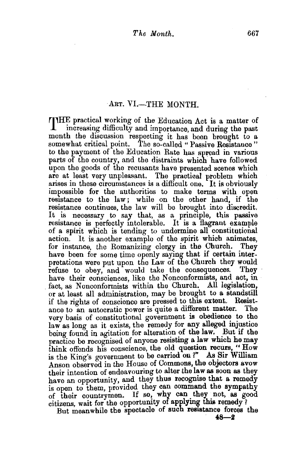## ART. VI.-THE MONTH.

THE practical working of the Education Act is a matter of increasing difficulty and importance, and during the past month the discussion respecting it has been brought to a somewhat critical point. The so-called " Passive Resistance" to the payment of the Education Rate has spread in various parts of the country, and the distraints which have followed upon the goods of the recusants have presented scenes which are at least very unpleasant. The practical problem which arises in these circumstances is a difficult one. It is obviously impossible for the authorities to make terms with open resistance to the law; while on the other hand, if the resistance continues, the law will be brought into discredit. It is necessary to say that, as a principle, this passive resistance is perfectly intolerable. It is a flagrant example. of a spirit which is tending to undermine all constitutional action. It is another example of the spirit which animates, for instance, the Romanizing clergy in the Church. They for instance, the Romanizing clergy in the Church. have been for some time openly saying that if certain interpretations were put upon the Law of the Church they would refuse to obset and would take the consequences. They refuse to obey, and would take the consequences. They have their consciences, like the Nonconformists, and act. in fact, as Nonconformists within the Church. All legislation, or at least all administration, may be brought to a standstill if the rights of conscience are pressed to this extent. Resistance to an autocratic power is quite a different matter. The ance to an autocratic power is quite a different matter. very basis of constitutional government is obedience to the law as long as it exists, the remedy for any alleged injustice being found in agitation for alteration of the law. But if the practice be recognised of anyone resisting a law which he may think offends his conscience, the old question recurs, " $H\circ\mathbf{w}$ is the King's government to be carried on?" As Sir William Anson observed in the House of Commons, the objectors avow their intention of endeavouring to alter the law as soon as they have an opportunity, and they thus recognise that a remedy is open to them, provided they can command the sympathy of their countrymen. If so, why can they not, as good citizens, wait for the opportunity of applying this remedy?

But meanwhile the spectacle of such resistance forces the  $48 - 2$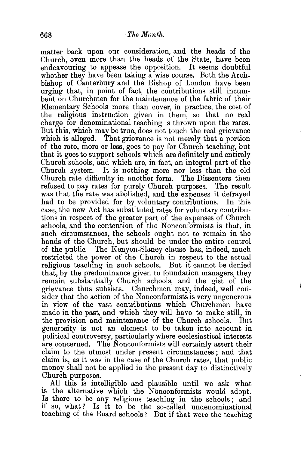matter back upon our consideration, and the heads of the Church, even more than the heads of the State, have been endeavouring to appease the opposition. It seems doubtful whether they have been taking a wise course. Both the Archbishop of Canterbury and the Bishop of London have been urging that, in point of fact, the contributions still incumbent on Churchmen for the maintenance of the fabric of their Elementary Schools more than cover, in practice, the cost of the religious instruction given in them, so that no real charge for denominational teaching is thrown upon the rates. But this, which may be true, does not touch the real grievance which is alleged. That grievance is not merely that a portion of the rate, more or less, goes to pay for Church teaching, but that it goes to support schools which are definitely and entirely Church schools, and which are, in fact, an integral part of the Church system. It is nothing more nor less than the old Church rate difficulty in another form. The Dissenters then refused to pay rates for purely Church purposes. The result was that the rate was abolished, and the expenses it defrayed had to be provided for by voluntary contributions. In this case, the new Act has substituted rates for voluntary contributions in respect of the greater part of the expenses of Church schools, and the contention of the Nonconformists is that, in such circumstances, the schools ought not to remain in the hands of the Church, but should be under the entire control of the public. The Kenyon-Slaney clause has, indeed, much restricted the power of the Church in respect to the actual religious teaching in such schools. But it cannot be denied that, by the predominance given to foundation managers, they remain substantially Church schools, and the gist of the grievance thus subsists. Churchmen may, indeed, well consider that the action of the Nonconformists is very ungenerous in view of the vast contributions which Churchmen have made in the past, and which they will have to make still, in the provision and maintenance of the Church schools. But generosity is not an element to be taken into account in political controversy, particularly where ecclesiastical interests are concerned. The Nonconformists will certainly assert their claim to the utmost under present circumstances ; and that claim is, as it was in the case of the Church rates, that public money shall not be applied in the present day to distinctively Church purposes.

All this is intelligible and plausible until we ask what is the alternative which the Nonconformists would adopt. *!s* there to be any religious teaching in the schools ; and If so, what? Is it to be the so-called undenominational teaching of the Board schools? But if that were the teaching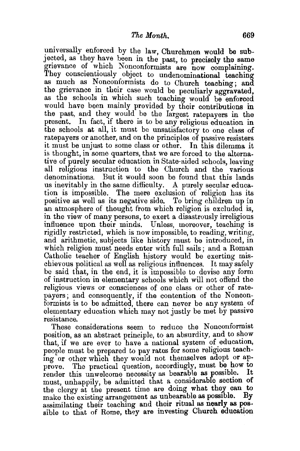universally enforced by the law, Churchmen would be subjected, as they have been in the past, to precisely the same grievance of which Nonconformists are now complaining. They conscientiously object to undenominational teaching as much as Nonconformists do to Church teaching; and the grievance in their case would be peculiarly aggravated, as the schools in which such teaching would be enforced would have been mainly provided by their contributions in the past, and they would be the largest ratepayers in the present. In fact, if there is to be any religious education in the schools at all, it must be unsatisfactory to one class of ratepayers or another, and on the principles of passive resisters it must be unjust to some class or other. In this dilemma it is thought, in some quarters, that we are forced to the alternative of purely secular education in State-aided schools, leaving all religious instruction to the Church and the various denominations. But it would soon be found that this lands us inevitably in the same difficulty. A purely secular education is impossible. The mere exclusion of religion has its positive as well as its negative side. To bring children up in an atmosphere of thought from which religion is excluded is, in the view of many persons, to exert a disastrously irreligious influence upon their minds. Unless, moreover, teaching is rigidly restricted, which is now impossible, to reading, writing, and arithmetic, subjects like history must be introduced, in which religion must needs enter with full sails; and a Roman Catholic teacher of English history would be exerting mischievous political as well as religious influences. It may safely be said that, in the end, it is impossible to devise any form of instruction in elementary schools which will not offend the religious views or consciences of one class or other of ratepayers; and consequently, if the contention of the Nonconformists is to be admitted, there can never be any system of elementary education which may not justly be met by passive resistance.

These considerations seem to reduce the Nonconformist position, as an abstract principle, to an absurdity, and to show that, if we are ever to have a national system of education, people must be prepared to pay rates for some religious teach. mg or other which they would not themselves adopt or approve. The practical question, accordingly, must be how to render this unwelcome necessity as bearable as possible. It must, unhappily, be admitted that a considerable section of the clergy at the present time are doing what they can to make the existing arrangement as unbearable as possible. By assimilating their teaching and their ritual as nearly as possible to that of Rome, they are investing Church education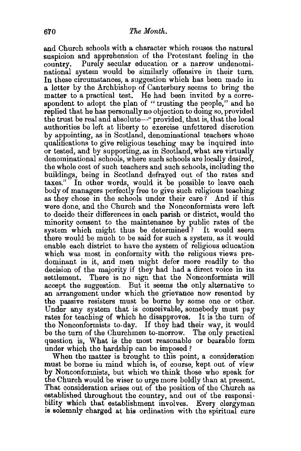and Church schools with a character which rouses the natural suspicion and apprehension of the Protestant feeling in the country. Purely secular education or a narrow undenominational system would be similarly offensive in their turn. In these circumstances, a suggestion which has been made in a letter by the Archbishop of Canterbury seems to bring the matter to a practical test. He had been invited by a correspondent to adopt the plan of "trusting the people," and he replied that he has personally no objection to doing so, provided the trust be real and absolute-" provided, that is, that the local authorities be left at liberty to exercise unfettered discretion by appointing, as in Scotland, denominational teachers whose qualifications to give religious teaching may be inquired into or tested, and by supportmg, as in Scotland, what are virtually denominational schools, where such schools are locally desired, the whole cost of such teachers and such schools, including the buildings, being in Scotland defrayed out of the rates and taxes." In other words, would it be possible to leave each body of managers perfectly free to give such religious teaching as they chose in the schools under their care ? And if this were done, and the Church and the Nonconformists were left to decide their differences in each parish or district, would the minority consent to the maintenance by public rates of the system which might thus be determined? It would seem there would be much to be said for such a system, as it would enable each district to have the system of religious education which was most in conformity with the religious views predominant in it, and men might defer more readily to the decision of the majority if they had had a direct voice in its settlement. There is no sign that the Nonconformists will accept the suggestion. But it seems the only alternative to an arrangement under which the grievance now resented by the passive resisters must be borne by some one or other. Under any system that is conceivable, somebody must pay rates for teaching of which he disapproves. It is the turn of the Nonconformists to.day. If they had their way, it would be the turn of the Churchmen to-morrow. The only practical question is, What is the most reasonable or bearable form under which the hardship can be imposed?

When the matter is brought to this point, a consideration must be borne in mind which is, of course, kept out of view by Nonconformists, but which we think those who speak for the Church would be wiser to urge more boldly than at present. That consideration arises out of the position of the Church as established throughout the country, and out of the responsibility which that establishment involves. Every clergyman is solemnly charged at his ordination with the spiritual cure